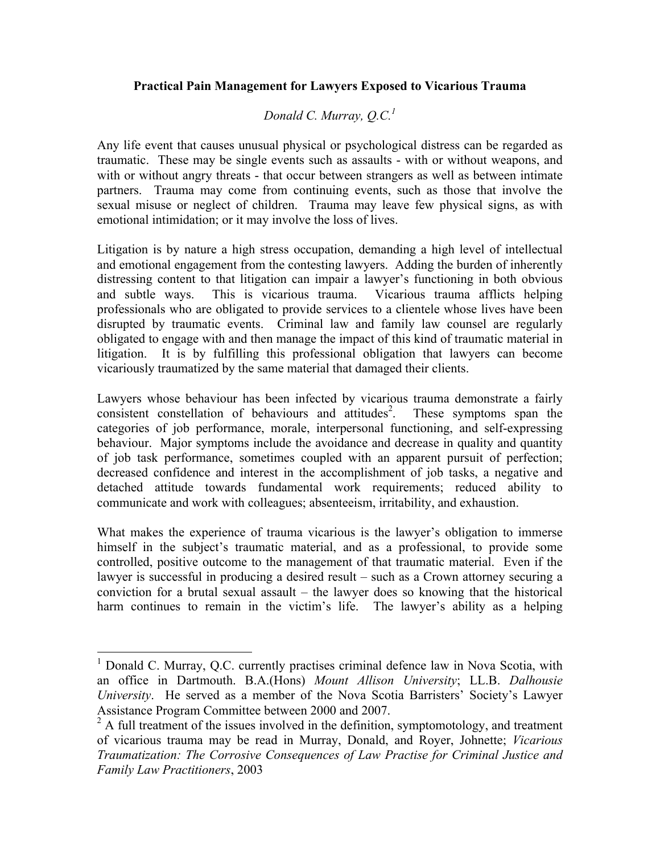## **Practical Pain Management for Lawyers Exposed to Vicarious Trauma**

# *Donald C. Murray, O.C.*<sup>1</sup>

Any life event that causes unusual physical or psychological distress can be regarded as traumatic. These may be single events such as assaults - with or without weapons, and with or without angry threats - that occur between strangers as well as between intimate partners. Trauma may come from continuing events, such as those that involve the sexual misuse or neglect of children. Trauma may leave few physical signs, as with emotional intimidation; or it may involve the loss of lives.

Litigation is by nature a high stress occupation, demanding a high level of intellectual and emotional engagement from the contesting lawyers. Adding the burden of inherently distressing content to that litigation can impair a lawyer's functioning in both obvious and subtle ways. This is vicarious trauma. Vicarious trauma afflicts helping professionals who are obligated to provide services to a clientele whose lives have been disrupted by traumatic events. Criminal law and family law counsel are regularly obligated to engage with and then manage the impact of this kind of traumatic material in litigation. It is by fulfilling this professional obligation that lawyers can become vicariously traumatized by the same material that damaged their clients.

Lawyers whose behaviour has been infected by vicarious trauma demonstrate a fairly consistent constellation of behaviours and attitudes<sup>2</sup>. . These symptoms span the categories of job performance, morale, interpersonal functioning, and self-expressing behaviour. Major symptoms include the avoidance and decrease in quality and quantity of job task performance, sometimes coupled with an apparent pursuit of perfection; decreased confidence and interest in the accomplishment of job tasks, a negative and detached attitude towards fundamental work requirements; reduced ability to communicate and work with colleagues; absenteeism, irritability, and exhaustion.

What makes the experience of trauma vicarious is the lawyer's obligation to immerse himself in the subject's traumatic material, and as a professional, to provide some controlled, positive outcome to the management of that traumatic material. Even if the lawyer is successful in producing a desired result – such as a Crown attorney securing a conviction for a brutal sexual assault – the lawyer does so knowing that the historical harm continues to remain in the victim's life. The lawyer's ability as a helping

 $1$  Donald C. Murray, O.C. currently practises criminal defence law in Nova Scotia, with an office in Dartmouth. B.A.(Hons) *Mount Allison University*; LL.B. *Dalhousie University*. He served as a member of the Nova Scotia Barristers' Society's Lawyer Assistance Program Committee between 2000 and 2007.

<sup>&</sup>lt;sup>2</sup> A full treatment of the issues involved in the definition, symptomotology, and treatment of vicarious trauma may be read in Murray, Donald, and Royer, Johnette; *Vicarious Traumatization: The Corrosive Consequences of Law Practise for Criminal Justice and Family Law Practitioners*, 2003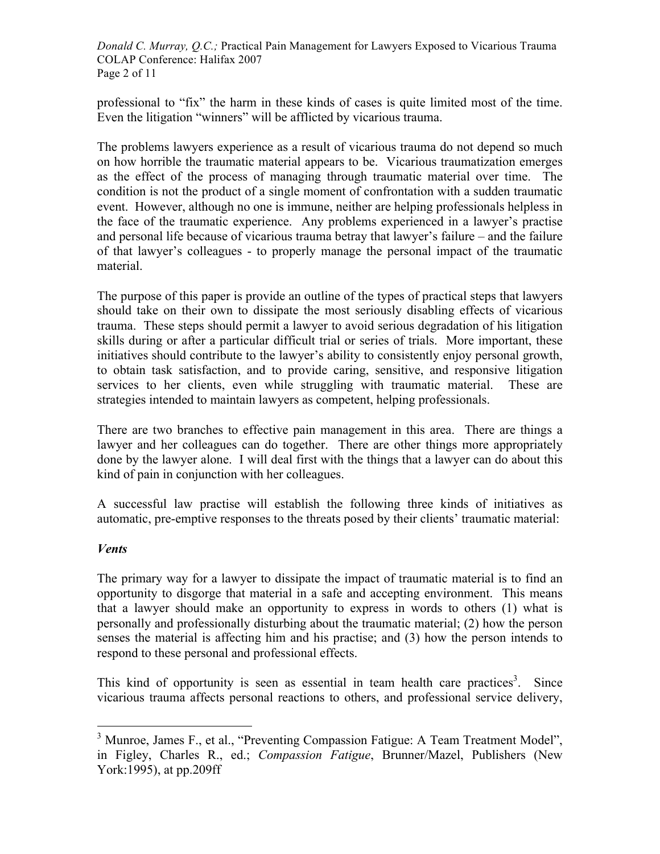*Donald C. Murray, Q.C.;* Practical Pain Management for Lawyers Exposed to Vicarious Trauma COLAP Conference: Halifax 2007 Page 2 of 11

professional to "fix" the harm in these kinds of cases is quite limited most of the time. Even the litigation "winners" will be afflicted by vicarious trauma.

The problems lawyers experience as a result of vicarious trauma do not depend so much on how horrible the traumatic material appears to be. Vicarious traumatization emerges as the effect of the process of managing through traumatic material over time. The condition is not the product of a single moment of confrontation with a sudden traumatic event. However, although no one is immune, neither are helping professionals helpless in the face of the traumatic experience. Any problems experienced in a lawyer's practise and personal life because of vicarious trauma betray that lawyer's failure – and the failure of that lawyer's colleagues - to properly manage the personal impact of the traumatic material.

The purpose of this paper is provide an outline of the types of practical steps that lawyers should take on their own to dissipate the most seriously disabling effects of vicarious trauma. These steps should permit a lawyer to avoid serious degradation of his litigation skills during or after a particular difficult trial or series of trials. More important, these initiatives should contribute to the lawyer's ability to consistently enjoy personal growth, to obtain task satisfaction, and to provide caring, sensitive, and responsive litigation services to her clients, even while struggling with traumatic material. These are strategies intended to maintain lawyers as competent, helping professionals.

There are two branches to effective pain management in this area. There are things a lawyer and her colleagues can do together. There are other things more appropriately done by the lawyer alone. I will deal first with the things that a lawyer can do about this kind of pain in conjunction with her colleagues.

A successful law practise will establish the following three kinds of initiatives as automatic, pre-emptive responses to the threats posed by their clients' traumatic material:

## *Vents*

The primary way for a lawyer to dissipate the impact of traumatic material is to find an opportunity to disgorge that material in a safe and accepting environment. This means that a lawyer should make an opportunity to express in words to others (1) what is personally and professionally disturbing about the traumatic material; (2) how the person senses the material is affecting him and his practise; and (3) how the person intends to respond to these personal and professional effects.

This kind of opportunity is seen as essential in team health care practices<sup>3</sup>. Since vicarious trauma affects personal reactions to others, and professional service delivery,

<sup>&</sup>lt;sup>3</sup> Munroe, James F., et al., "Preventing Compassion Fatigue: A Team Treatment Model", in Figley, Charles R., ed.; *Compassion Fatigue*, Brunner/Mazel, Publishers (New York:1995), at pp.209ff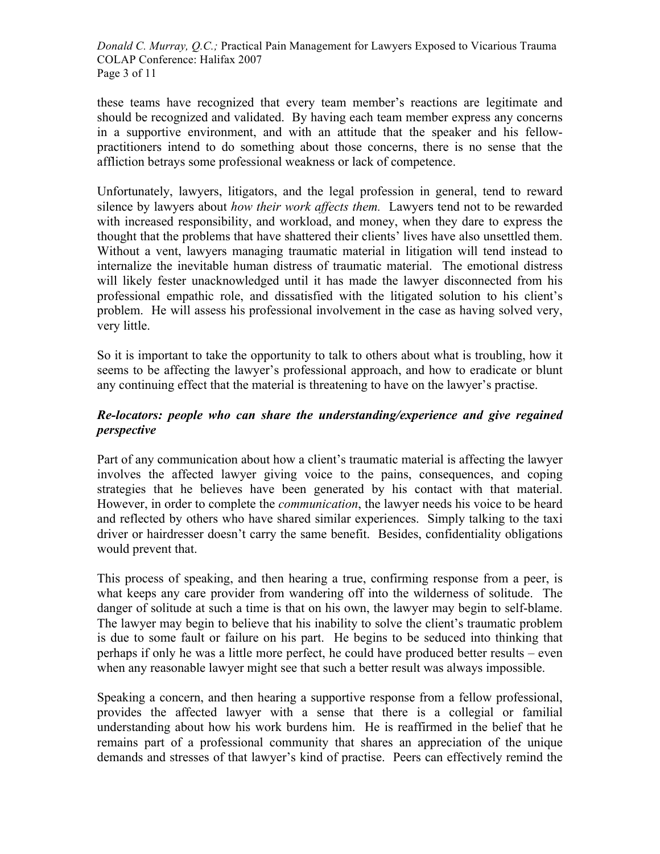*Donald C. Murray, Q.C.;* Practical Pain Management for Lawyers Exposed to Vicarious Trauma COLAP Conference: Halifax 2007 Page 3 of 11

these teams have recognized that every team member's reactions are legitimate and should be recognized and validated. By having each team member express any concerns in a supportive environment, and with an attitude that the speaker and his fellowpractitioners intend to do something about those concerns, there is no sense that the affliction betrays some professional weakness or lack of competence.

Unfortunately, lawyers, litigators, and the legal profession in general, tend to reward silence by lawyers about *how their work affects them.* Lawyers tend not to be rewarded with increased responsibility, and workload, and money, when they dare to express the thought that the problems that have shattered their clients' lives have also unsettled them. Without a vent, lawyers managing traumatic material in litigation will tend instead to internalize the inevitable human distress of traumatic material. The emotional distress will likely fester unacknowledged until it has made the lawyer disconnected from his professional empathic role, and dissatisfied with the litigated solution to his client's problem. He will assess his professional involvement in the case as having solved very, very little.

So it is important to take the opportunity to talk to others about what is troubling, how it seems to be affecting the lawyer's professional approach, and how to eradicate or blunt any continuing effect that the material is threatening to have on the lawyer's practise.

## *Re-locators: people who can share the understanding/experience and give regained perspective*

Part of any communication about how a client's traumatic material is affecting the lawyer involves the affected lawyer giving voice to the pains, consequences, and coping strategies that he believes have been generated by his contact with that material. However, in order to complete the *communication*, the lawyer needs his voice to be heard and reflected by others who have shared similar experiences. Simply talking to the taxi driver or hairdresser doesn't carry the same benefit. Besides, confidentiality obligations would prevent that.

This process of speaking, and then hearing a true, confirming response from a peer, is what keeps any care provider from wandering off into the wilderness of solitude. The danger of solitude at such a time is that on his own, the lawyer may begin to self-blame. The lawyer may begin to believe that his inability to solve the client's traumatic problem is due to some fault or failure on his part. He begins to be seduced into thinking that perhaps if only he was a little more perfect, he could have produced better results – even when any reasonable lawyer might see that such a better result was always impossible.

Speaking a concern, and then hearing a supportive response from a fellow professional, provides the affected lawyer with a sense that there is a collegial or familial understanding about how his work burdens him. He is reaffirmed in the belief that he remains part of a professional community that shares an appreciation of the unique demands and stresses of that lawyer's kind of practise. Peers can effectively remind the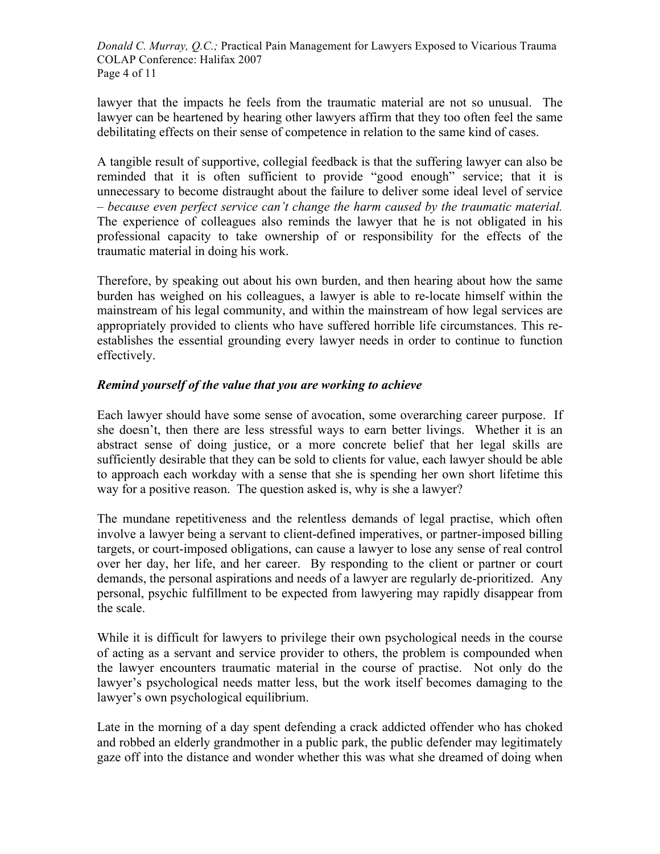*Donald C. Murray, Q.C.;* Practical Pain Management for Lawyers Exposed to Vicarious Trauma COLAP Conference: Halifax 2007 Page 4 of 11

lawyer that the impacts he feels from the traumatic material are not so unusual. The lawyer can be heartened by hearing other lawyers affirm that they too often feel the same debilitating effects on their sense of competence in relation to the same kind of cases.

A tangible result of supportive, collegial feedback is that the suffering lawyer can also be reminded that it is often sufficient to provide "good enough" service; that it is unnecessary to become distraught about the failure to deliver some ideal level of service – *because even perfect service can't change the harm caused by the traumatic material.*  The experience of colleagues also reminds the lawyer that he is not obligated in his professional capacity to take ownership of or responsibility for the effects of the traumatic material in doing his work.

Therefore, by speaking out about his own burden, and then hearing about how the same burden has weighed on his colleagues, a lawyer is able to re-locate himself within the mainstream of his legal community, and within the mainstream of how legal services are appropriately provided to clients who have suffered horrible life circumstances. This reestablishes the essential grounding every lawyer needs in order to continue to function effectively.

## *Remind yourself of the value that you are working to achieve*

Each lawyer should have some sense of avocation, some overarching career purpose. If she doesn't, then there are less stressful ways to earn better livings. Whether it is an abstract sense of doing justice, or a more concrete belief that her legal skills are sufficiently desirable that they can be sold to clients for value, each lawyer should be able to approach each workday with a sense that she is spending her own short lifetime this way for a positive reason. The question asked is, why is she a lawyer?

The mundane repetitiveness and the relentless demands of legal practise, which often involve a lawyer being a servant to client-defined imperatives, or partner-imposed billing targets, or court-imposed obligations, can cause a lawyer to lose any sense of real control over her day, her life, and her career. By responding to the client or partner or court demands, the personal aspirations and needs of a lawyer are regularly de-prioritized. Any personal, psychic fulfillment to be expected from lawyering may rapidly disappear from the scale.

While it is difficult for lawyers to privilege their own psychological needs in the course of acting as a servant and service provider to others, the problem is compounded when the lawyer encounters traumatic material in the course of practise. Not only do the lawyer's psychological needs matter less, but the work itself becomes damaging to the lawyer's own psychological equilibrium.

Late in the morning of a day spent defending a crack addicted offender who has choked and robbed an elderly grandmother in a public park, the public defender may legitimately gaze off into the distance and wonder whether this was what she dreamed of doing when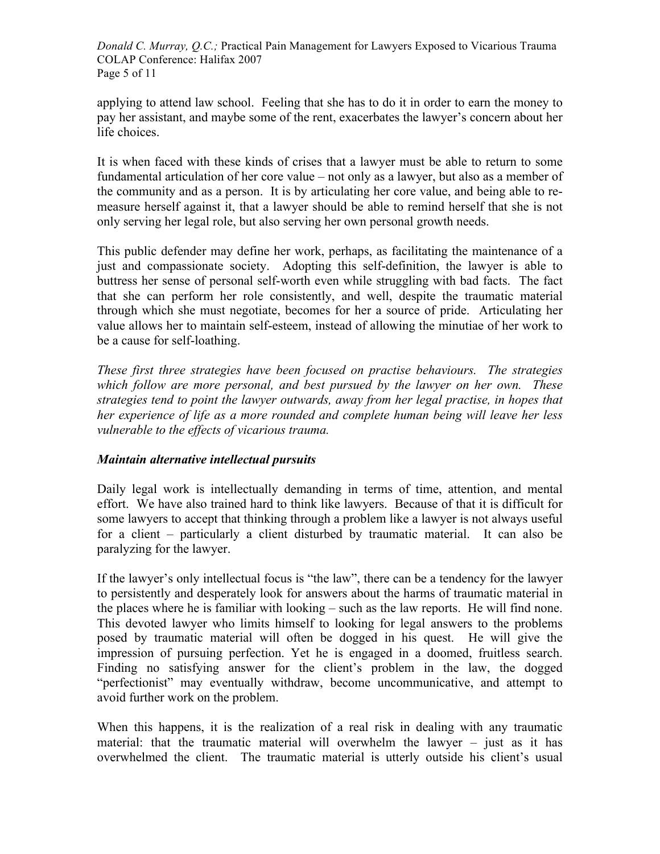*Donald C. Murray, Q.C.;* Practical Pain Management for Lawyers Exposed to Vicarious Trauma COLAP Conference: Halifax 2007 Page 5 of 11

applying to attend law school. Feeling that she has to do it in order to earn the money to pay her assistant, and maybe some of the rent, exacerbates the lawyer's concern about her life choices.

It is when faced with these kinds of crises that a lawyer must be able to return to some fundamental articulation of her core value – not only as a lawyer, but also as a member of the community and as a person. It is by articulating her core value, and being able to remeasure herself against it, that a lawyer should be able to remind herself that she is not only serving her legal role, but also serving her own personal growth needs.

This public defender may define her work, perhaps, as facilitating the maintenance of a just and compassionate society. Adopting this self-definition, the lawyer is able to buttress her sense of personal self-worth even while struggling with bad facts. The fact that she can perform her role consistently, and well, despite the traumatic material through which she must negotiate, becomes for her a source of pride. Articulating her value allows her to maintain self-esteem, instead of allowing the minutiae of her work to be a cause for self-loathing.

*These first three strategies have been focused on practise behaviours. The strategies which follow are more personal, and best pursued by the lawyer on her own. These strategies tend to point the lawyer outwards, away from her legal practise, in hopes that her experience of life as a more rounded and complete human being will leave her less vulnerable to the effects of vicarious trauma.*

## *Maintain alternative intellectual pursuits*

Daily legal work is intellectually demanding in terms of time, attention, and mental effort. We have also trained hard to think like lawyers. Because of that it is difficult for some lawyers to accept that thinking through a problem like a lawyer is not always useful for a client – particularly a client disturbed by traumatic material. It can also be paralyzing for the lawyer.

If the lawyer's only intellectual focus is "the law", there can be a tendency for the lawyer to persistently and desperately look for answers about the harms of traumatic material in the places where he is familiar with looking – such as the law reports. He will find none. This devoted lawyer who limits himself to looking for legal answers to the problems posed by traumatic material will often be dogged in his quest. He will give the impression of pursuing perfection. Yet he is engaged in a doomed, fruitless search. Finding no satisfying answer for the client's problem in the law, the dogged "perfectionist" may eventually withdraw, become uncommunicative, and attempt to avoid further work on the problem.

When this happens, it is the realization of a real risk in dealing with any traumatic material: that the traumatic material will overwhelm the lawyer  $-$  just as it has overwhelmed the client. The traumatic material is utterly outside his client's usual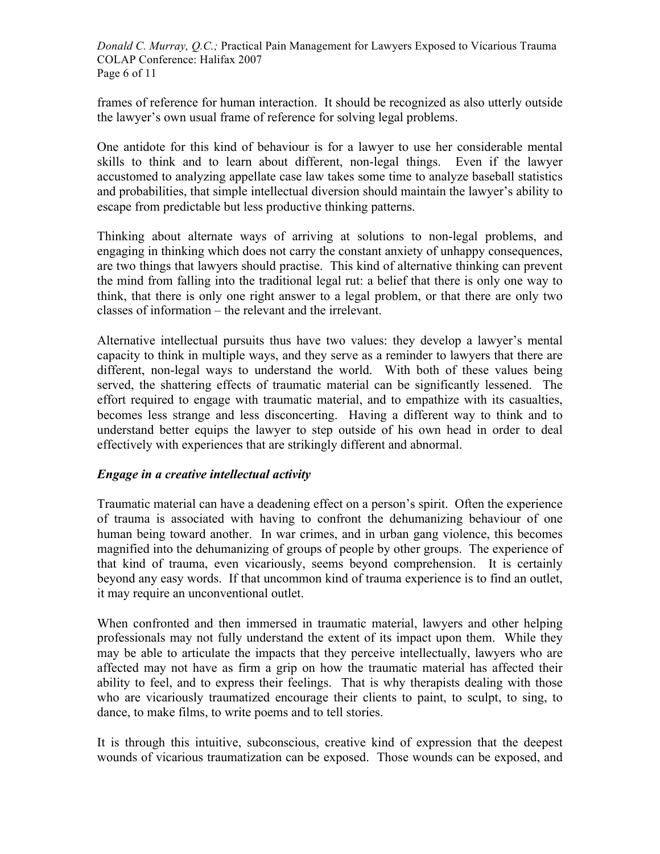*Donald C. Murray, Q.C.;* Practical Pain Management for Lawyers Exposed to Vicarious Trauma COLAP Conference: Halifax 2007 Page 6 of 11

frames of reference for human interaction. It should be recognized as also utterly outside the lawyer's own usual frame of reference for solving legal problems.

One antidote for this kind of behaviour is for a lawyer to use her considerable mental skills to think and to learn about different, non-legal things. Even if the lawyer accustomed to analyzing appellate case law takes some time to analyze baseball statistics and probabilities, that simple intellectual diversion should maintain the lawyer's ability to escape from predictable but less productive thinking patterns.

Thinking about alternate ways of arriving at solutions to non-legal problems, and engaging in thinking which does not carry the constant anxiety of unhappy consequences, are two things that lawyers should practise. This kind of alternative thinking can prevent the mind from falling into the traditional legal rut: a belief that there is only one way to think, that there is only one right answer to a legal problem, or that there are only two classes of information – the relevant and the irrelevant.

Alternative intellectual pursuits thus have two values: they develop a lawyer's mental capacity to think in multiple ways, and they serve as a reminder to lawyers that there are different, non-legal ways to understand the world. With both of these values being served, the shattering effects of traumatic material can be significantly lessened. The effort required to engage with traumatic material, and to empathize with its casualties, becomes less strange and less disconcerting. Having a different way to think and to understand better equips the lawyer to step outside of his own head in order to deal effectively with experiences that are strikingly different and abnormal.

## *Engage in a creative intellectual activity*

Traumatic material can have a deadening effect on a person's spirit. Often the experience of trauma is associated with having to confront the dehumanizing behaviour of one human being toward another. In war crimes, and in urban gang violence, this becomes magnified into the dehumanizing of groups of people by other groups. The experience of that kind of trauma, even vicariously, seems beyond comprehension. It is certainly beyond any easy words. If that uncommon kind of trauma experience is to find an outlet, it may require an unconventional outlet.

When confronted and then immersed in traumatic material, lawyers and other helping professionals may not fully understand the extent of its impact upon them. While they may be able to articulate the impacts that they perceive intellectually, lawyers who are affected may not have as firm a grip on how the traumatic material has affected their ability to feel, and to express their feelings. That is why therapists dealing with those who are vicariously traumatized encourage their clients to paint, to sculpt, to sing, to dance, to make films, to write poems and to tell stories.

It is through this intuitive, subconscious, creative kind of expression that the deepest wounds of vicarious traumatization can be exposed. Those wounds can be exposed, and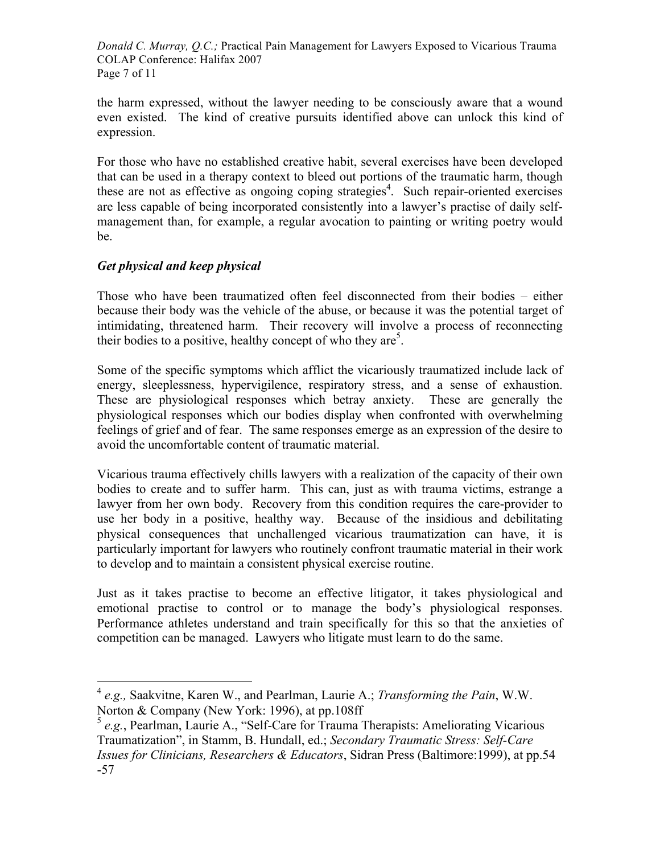*Donald C. Murray, Q.C.;* Practical Pain Management for Lawyers Exposed to Vicarious Trauma COLAP Conference: Halifax 2007 Page 7 of 11

the harm expressed, without the lawyer needing to be consciously aware that a wound even existed. The kind of creative pursuits identified above can unlock this kind of expression.

For those who have no established creative habit, several exercises have been developed that can be used in a therapy context to bleed out portions of the traumatic harm, though these are not as effective as ongoing coping strategies<sup>4</sup>. Such repair-oriented exercises are less capable of being incorporated consistently into a lawyer's practise of daily selfmanagement than, for example, a regular avocation to painting or writing poetry would be.

## *Get physical and keep physical*

Those who have been traumatized often feel disconnected from their bodies – either because their body was the vehicle of the abuse, or because it was the potential target of intimidating, threatened harm. Their recovery will involve a process of reconnecting their bodies to a positive, healthy concept of who they are<sup>5</sup>.

Some of the specific symptoms which afflict the vicariously traumatized include lack of energy, sleeplessness, hypervigilence, respiratory stress, and a sense of exhaustion. These are physiological responses which betray anxiety. These are generally the physiological responses which our bodies display when confronted with overwhelming feelings of grief and of fear. The same responses emerge as an expression of the desire to avoid the uncomfortable content of traumatic material.

Vicarious trauma effectively chills lawyers with a realization of the capacity of their own bodies to create and to suffer harm. This can, just as with trauma victims, estrange a lawyer from her own body. Recovery from this condition requires the care-provider to use her body in a positive, healthy way. Because of the insidious and debilitating physical consequences that unchallenged vicarious traumatization can have, it is particularly important for lawyers who routinely confront traumatic material in their work to develop and to maintain a consistent physical exercise routine.

Just as it takes practise to become an effective litigator, it takes physiological and emotional practise to control or to manage the body's physiological responses. Performance athletes understand and train specifically for this so that the anxieties of competition can be managed. Lawyers who litigate must learn to do the same.

 <sup>4</sup> *e.g.,* Saakvitne, Karen W., and Pearlman, Laurie A.; *Transforming the Pain*, W.W. Norton & Company (New York: 1996), at pp.108ff

<sup>5</sup> *e.g.*, Pearlman, Laurie A., "Self-Care for Trauma Therapists: Ameliorating Vicarious Traumatization", in Stamm, B. Hundall, ed.; *Secondary Traumatic Stress: Self-Care Issues for Clinicians, Researchers & Educators*, Sidran Press (Baltimore:1999), at pp.54 -57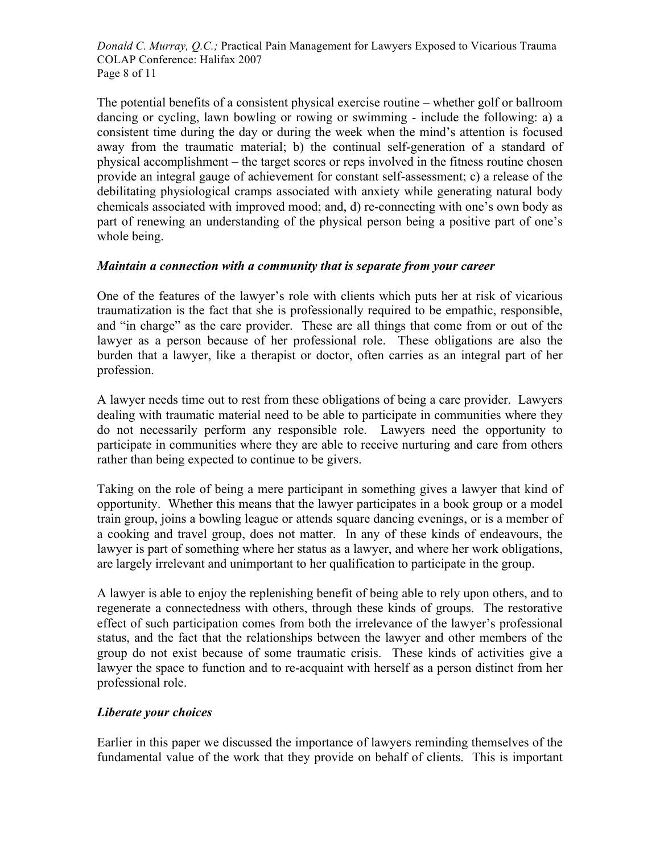*Donald C. Murray, Q.C.;* Practical Pain Management for Lawyers Exposed to Vicarious Trauma COLAP Conference: Halifax 2007 Page 8 of 11

The potential benefits of a consistent physical exercise routine – whether golf or ballroom dancing or cycling, lawn bowling or rowing or swimming - include the following: a) a consistent time during the day or during the week when the mind's attention is focused away from the traumatic material; b) the continual self-generation of a standard of physical accomplishment – the target scores or reps involved in the fitness routine chosen provide an integral gauge of achievement for constant self-assessment; c) a release of the debilitating physiological cramps associated with anxiety while generating natural body chemicals associated with improved mood; and, d) re-connecting with one's own body as part of renewing an understanding of the physical person being a positive part of one's whole being.

### *Maintain a connection with a community that is separate from your career*

One of the features of the lawyer's role with clients which puts her at risk of vicarious traumatization is the fact that she is professionally required to be empathic, responsible, and "in charge" as the care provider. These are all things that come from or out of the lawyer as a person because of her professional role. These obligations are also the burden that a lawyer, like a therapist or doctor, often carries as an integral part of her profession.

A lawyer needs time out to rest from these obligations of being a care provider. Lawyers dealing with traumatic material need to be able to participate in communities where they do not necessarily perform any responsible role. Lawyers need the opportunity to participate in communities where they are able to receive nurturing and care from others rather than being expected to continue to be givers.

Taking on the role of being a mere participant in something gives a lawyer that kind of opportunity. Whether this means that the lawyer participates in a book group or a model train group, joins a bowling league or attends square dancing evenings, or is a member of a cooking and travel group, does not matter. In any of these kinds of endeavours, the lawyer is part of something where her status as a lawyer, and where her work obligations, are largely irrelevant and unimportant to her qualification to participate in the group.

A lawyer is able to enjoy the replenishing benefit of being able to rely upon others, and to regenerate a connectedness with others, through these kinds of groups. The restorative effect of such participation comes from both the irrelevance of the lawyer's professional status, and the fact that the relationships between the lawyer and other members of the group do not exist because of some traumatic crisis. These kinds of activities give a lawyer the space to function and to re-acquaint with herself as a person distinct from her professional role.

## *Liberate your choices*

Earlier in this paper we discussed the importance of lawyers reminding themselves of the fundamental value of the work that they provide on behalf of clients. This is important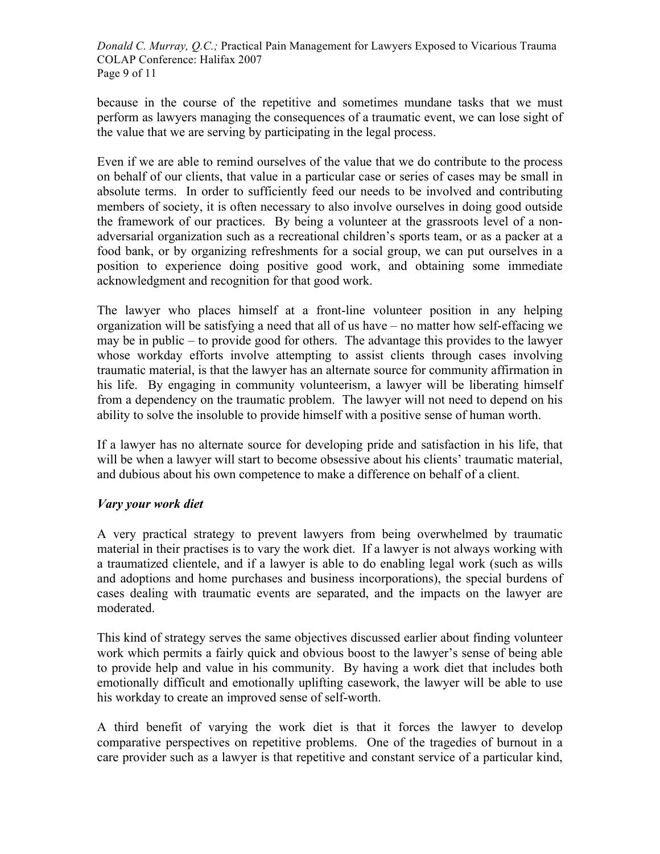*Donald C. Murray, Q.C.;* Practical Pain Management for Lawyers Exposed to Vicarious Trauma COLAP Conference: Halifax 2007 Page 9 of 11

because in the course of the repetitive and sometimes mundane tasks that we must perform as lawyers managing the consequences of a traumatic event, we can lose sight of the value that we are serving by participating in the legal process.

Even if we are able to remind ourselves of the value that we do contribute to the process on behalf of our clients, that value in a particular case or series of cases may be small in absolute terms. In order to sufficiently feed our needs to be involved and contributing members of society, it is often necessary to also involve ourselves in doing good outside the framework of our practices. By being a volunteer at the grassroots level of a nonadversarial organization such as a recreational children's sports team, or as a packer at a food bank, or by organizing refreshments for a social group, we can put ourselves in a position to experience doing positive good work, and obtaining some immediate acknowledgment and recognition for that good work.

The lawyer who places himself at a front-line volunteer position in any helping organization will be satisfying a need that all of us have – no matter how self-effacing we may be in public – to provide good for others. The advantage this provides to the lawyer whose workday efforts involve attempting to assist clients through cases involving traumatic material, is that the lawyer has an alternate source for community affirmation in his life. By engaging in community volunteerism, a lawyer will be liberating himself from a dependency on the traumatic problem. The lawyer will not need to depend on his ability to solve the insoluble to provide himself with a positive sense of human worth.

If a lawyer has no alternate source for developing pride and satisfaction in his life, that will be when a lawyer will start to become obsessive about his clients' traumatic material, and dubious about his own competence to make a difference on behalf of a client.

## *Vary your work diet*

A very practical strategy to prevent lawyers from being overwhelmed by traumatic material in their practises is to vary the work diet. If a lawyer is not always working with a traumatized clientele, and if a lawyer is able to do enabling legal work (such as wills and adoptions and home purchases and business incorporations), the special burdens of cases dealing with traumatic events are separated, and the impacts on the lawyer are moderated.

This kind of strategy serves the same objectives discussed earlier about finding volunteer work which permits a fairly quick and obvious boost to the lawyer's sense of being able to provide help and value in his community. By having a work diet that includes both emotionally difficult and emotionally uplifting casework, the lawyer will be able to use his workday to create an improved sense of self-worth.

A third benefit of varying the work diet is that it forces the lawyer to develop comparative perspectives on repetitive problems. One of the tragedies of burnout in a care provider such as a lawyer is that repetitive and constant service of a particular kind,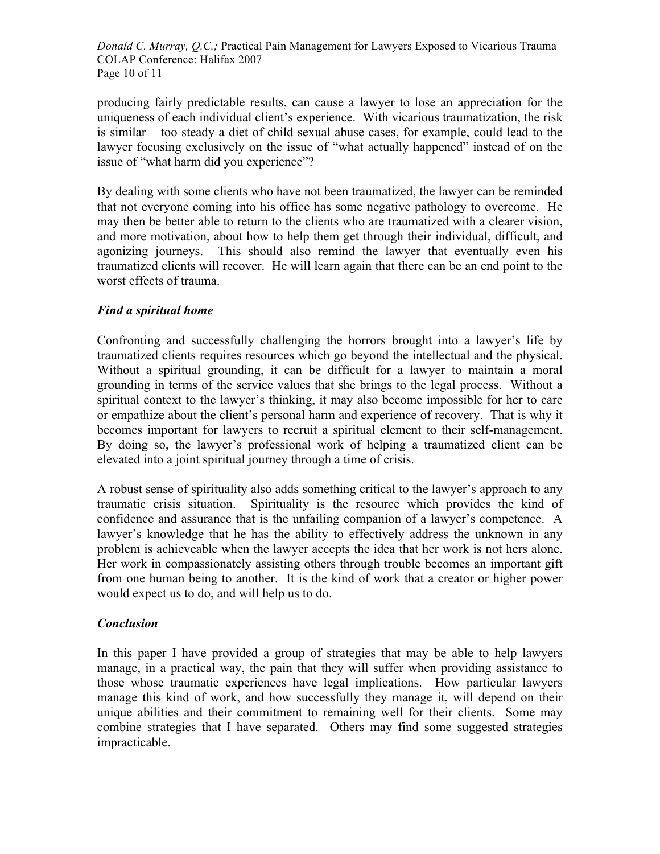*Donald C. Murray, Q.C.;* Practical Pain Management for Lawyers Exposed to Vicarious Trauma COLAP Conference: Halifax 2007 Page 10 of 11

producing fairly predictable results, can cause a lawyer to lose an appreciation for the uniqueness of each individual client's experience. With vicarious traumatization, the risk is similar – too steady a diet of child sexual abuse cases, for example, could lead to the lawyer focusing exclusively on the issue of "what actually happened" instead of on the issue of "what harm did you experience"?

By dealing with some clients who have not been traumatized, the lawyer can be reminded that not everyone coming into his office has some negative pathology to overcome. He may then be better able to return to the clients who are traumatized with a clearer vision, and more motivation, about how to help them get through their individual, difficult, and agonizing journeys. This should also remind the lawyer that eventually even his traumatized clients will recover. He will learn again that there can be an end point to the worst effects of trauma.

### *Find a spiritual home*

Confronting and successfully challenging the horrors brought into a lawyer's life by traumatized clients requires resources which go beyond the intellectual and the physical. Without a spiritual grounding, it can be difficult for a lawyer to maintain a moral grounding in terms of the service values that she brings to the legal process. Without a spiritual context to the lawyer's thinking, it may also become impossible for her to care or empathize about the client's personal harm and experience of recovery. That is why it becomes important for lawyers to recruit a spiritual element to their self-management. By doing so, the lawyer's professional work of helping a traumatized client can be elevated into a joint spiritual journey through a time of crisis.

A robust sense of spirituality also adds something critical to the lawyer's approach to any traumatic crisis situation. Spirituality is the resource which provides the kind of confidence and assurance that is the unfailing companion of a lawyer's competence. A lawyer's knowledge that he has the ability to effectively address the unknown in any problem is achieveable when the lawyer accepts the idea that her work is not hers alone. Her work in compassionately assisting others through trouble becomes an important gift from one human being to another. It is the kind of work that a creator or higher power would expect us to do, and will help us to do.

## *Conclusion*

In this paper I have provided a group of strategies that may be able to help lawyers manage, in a practical way, the pain that they will suffer when providing assistance to those whose traumatic experiences have legal implications. How particular lawyers manage this kind of work, and how successfully they manage it, will depend on their unique abilities and their commitment to remaining well for their clients. Some may combine strategies that I have separated. Others may find some suggested strategies impracticable.